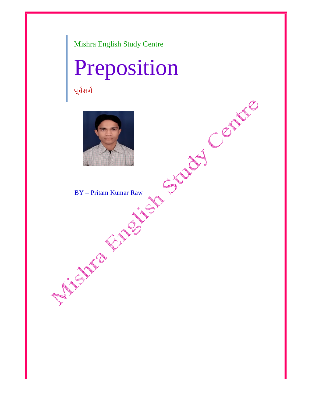Mishra English Study Centre

## Preposition

पूर्वसगे



BY – Pritam Kumar Raw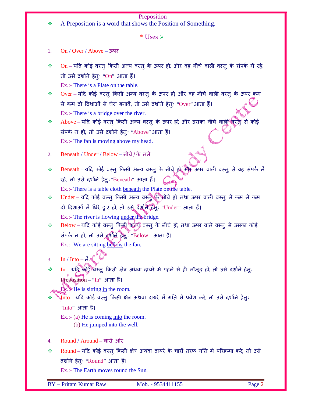## Preposition

A Preposition is a word that shows the Position of Something.

 $*$  Uses  $\triangleright$ 

- 1. On / Over / Above ऊपर
- $\div$  0n यदि कोई वस्तु किसी अन्य वस्तु के ऊपर हो, और वह नीचे वाली वस्तु के संपर्क में रहे, तो उसे दर्शाने हेतुः "On" आता हैं। Ex.:- There is a Plate on the table.
- $\bm{\hat{v}}$   $\bm{\text{Over}}$  यदि कोई वस्तु किसी अन्य वस्तु के ऊपर हो, और वह नीचे वाली वस्तु के ऊपर कम से कम दो दिशाओं से घेरा बनावें, तो उसे दर्शाने हेतुः "Over" आता हैं। Ex.:- There is a bridge over the river.

\* Above – यदि कोई वस्तु किसी अन्य वस्तु के ऊपर हो, और उसका नीचे वाल़ी वस्तु से कोई संपर्क न हो, तो उसे दर्शाने हेतुः "Above" आता हैं। Ex.:- The fan is moving above my head.

- 2. Beneath / Under / Below नीचे/ के तले
- \* Beneath यदि कोई वस्तु किसी अन्य वस्तु के नीचे हो और ऊपर वाली वस्तु से वह संपर्क में रहे, तो उसे दर्शाने हेतुः "Beneath" आता हैं। Ex.:- There is a table cloth beneath the Plate on the table.

❖ Under – यदि कोई वस्तु किसी अन्य वस्तु के नीचे हो तथा ऊपर वाली वस्तु से कम से कम दो दिशाओं में घिरे हुए हो, तो उसे दर्शाने हेतुः "Under" आता हैं। Ex.:- The river is flowing under the bridge.

 $\diamond$  Below – यदि कोई वस्तु किसी अब्य वस्तु के नीचे हो, तथा ऊपर वाले वस्तु से उसका कोई संपर्क न हो, तो उसे दशाने हेतुः "Below" आता हैं। Ex.:- We are sitting below the fan.

3. In / Into  $-\tilde{\mathbf{\hat{H}}}$ 

 $\bm{\hat{v}}$   $\bm{\mathrm{In}}$  – यद्रि कोई वस्तु किसी क्षेत्र अथवा दायरे में पहले से ही मौजूद हो, तो उसे दर्शाने हेतुः Preposition – "In" आता हैं।

Ex.<sup>••</sup>He is sitting in the room.

 $\mathcal{J}_{\rm nto}$  – यदि कोई वस्तु किसी क्षेत्र अथवा दायरे में गति से प्रवेश करे, तो उसे दर्शाने हेतुः "Into" आता हैं।

Ex.:- (a) He is coming <u>into</u> the room. (b) He jumped into the well.

- 4. Round / Around चारों ओर
- ❖ Round यदि कोई वस्तु किसी क्षेत्र अथवा दायरे के चारों तरफ गति में परिक्रमा करे, तो उसे दर्शाने हेतुः "Round" आता हैं।

Ex.:- The Earth moves round the Sun.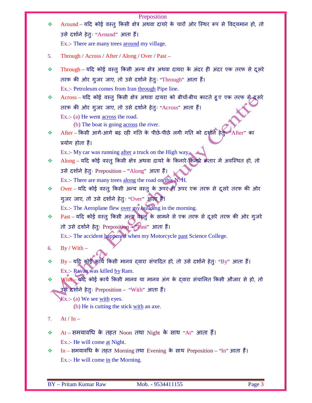| ❖  | Preposition<br>Around – यदि कोई वस्तु किसी क्षेत्र अथवा दायरे के चारों ओर स्थिर रूप से विद्यमान हो, तो                                        |
|----|-----------------------------------------------------------------------------------------------------------------------------------------------|
|    | उसे दर्शाने हेतुः "Around" आता हैं।                                                                                                           |
|    | Ex.:- There are many trees around my village.                                                                                                 |
|    |                                                                                                                                               |
| 5. | Through / Across / After / Along / Over / Past –                                                                                              |
| ❖  | Through – यदि कोई वस्तु किसी अन्य क्षेत्र अथवा दायरा के अंदर ही अंदर एक तरफ से दूसरे                                                          |
|    | तरफ की ओर गुजर जाए, तो उसे दर्शाने हेतुः "Through" आता हैं।                                                                                   |
|    | Ex.:- Petroleum comes from Iran through Pipe line.                                                                                            |
| ❖  | Across – यदि कोई वस्तु किसी क्षेत्र अथवा दायरा को बीचों-बीच काटते हुए एक तरफ से द्रूसरे                                                       |
|    | तरफ की ओर गुजर जाए, तो उसे दर्शाने हेतुः "Across" आता हैं।                                                                                    |
|    | Ex.:- (a) He went <u>across</u> the road.                                                                                                     |
|    | (b) The boat is going across the river.                                                                                                       |
| ❖  | After - किसी आगे-आगे बढ़ रही गति के पीछे-पीछे लगी गति को दर्शनि हेतु: "After" का                                                              |
|    | प्रयोग होता हैं।                                                                                                                              |
|    | Ex.:- My car was running after a truck on the High way.                                                                                       |
| ❖  | Along – यदि कोई वस्तु किसी क्षेत्र अथवा दायरे के किनारे-किनारे कतार में अवस्थित हो, तो                                                        |
|    | उसे दर्शाने हेतुः Preposition - "Along" आता हैं।                                                                                              |
| ❖  | Ex.:- There are many trees along the road on this N. H.<br>Over - यदि कोई वस्तु किसी अन्य वस्तु के ऊपर ही ऊपर एक तरफ से दूसरे तरफ की ओर       |
|    |                                                                                                                                               |
|    | गुजर जाए, तो उसे दर्शाने हेतुः "Over" आता है।                                                                                                 |
| ❖  | Ex.:- The Aeroplane flew over my building in the morning.<br>Past - यदि कोई वस्तु किसी अन्य वस्तु के सामने से एक तरफ से दूसरे तरफ की ओर गुजरे |
|    |                                                                                                                                               |
|    | तो उसे दर्शाने हेतुः Preposition - "Past" आता हैं।                                                                                            |
|    | Ex.:- The accident happened when my Motorcycle past Science College.                                                                          |
| 6. | $By / With -$                                                                                                                                 |
| ❖  | By - यदि कोई कार्य किसी मानव दवारा संपादित हो, तो उसे दर्शाने हेतुः "By" आता हैं।                                                             |
|    | Ex.:- Ravan was killed by Ram.                                                                                                                |
| ❖  | With सर्दि कोई कार्य किसी मानव या मानव अंग के द्वारा संचालित किसी औजार से हो, तो                                                              |
|    | उसे दर्शाने हेतुः Preposition – "With" आता हैं।                                                                                               |
|    | Ex.: (a) We see with eyes.                                                                                                                    |
|    | (b) He is cutting the stick with an axe.                                                                                                      |
| 7. | $At / In -$                                                                                                                                   |
| ❖  | At – समयावधि के तहत Noon तथा Night के साथ "At" आता हैं।                                                                                       |
|    | Ex.:- He will come at Night.                                                                                                                  |
| ❖  | In – समयावधि के तहत Morning तथा Evening के साथ Preposition – "In" आता हैं।                                                                    |
|    | $Ex.:$ He will come in the Morning.                                                                                                           |
|    |                                                                                                                                               |
|    |                                                                                                                                               |
|    | Page 3<br><b>BY</b> - Pritam Kumar Raw<br>Mob. - 9534411155                                                                                   |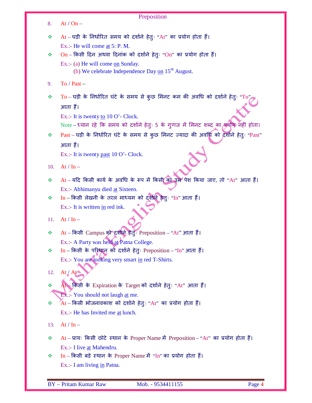| 8.  | Preposition<br>At / $On -$                                                                              |
|-----|---------------------------------------------------------------------------------------------------------|
|     |                                                                                                         |
| ❖   | At - घड़ी के निर्धारित समय को दर्शाने हेतुः "At" का प्रयोग होता हैं।                                    |
|     | Ex.:- He will come at 5: P. M.                                                                          |
| ❖   | $On$ – किसी दिन अथवा दिनांक को दर्शाने हेतुः "On" का प्रयोग होता हैं।                                   |
|     | Ex.:- (a) He will come on Sunday.<br>(b) We celebrate Independence Day $_{on}$ 15 <sup>th</sup> August. |
| 9.  | To / Past $-$                                                                                           |
| ❖   | $To - u$ ड़ी के निर्धारित घंटे के समय से कुछ मिनट कम की अवधि को दर्शाने हेतुः "To"                      |
|     | आता हैं।                                                                                                |
|     | Ex.:- It is twenty to 10 O'- Clock.                                                                     |
|     | Note – ध्यान रहे कि समय को दर्शाने हेतुः 5 के गुणज में मिनट शब्द का प्रयोग नहीं होता।                   |
| ❖   | Past – घड़ी के निर्धारित घंटे के समय से कुछ मिनट ज्यादा की अवधि को दर्शाने हेतुः "Past"                 |
|     | आता हैं।                                                                                                |
|     | Ex.:- It is twenty past $10$ O'- Clock.                                                                 |
| 10. | $At / In -$                                                                                             |
| ❖   | At – यदि किसी कार्य के अवधि के रूप में किसी का उम्र पेश किया जाए, तो "At" आता हैं।                      |
|     | Ex.:- Abhimanyu died at Sixteen.                                                                        |
| ❖   | $In$ – किसी लेखनी के तरल माध्यम को दर्शाने हैतुः "In" आता हैं।                                          |
|     | Ex.:- It is written in red ink.                                                                         |
| 11. | At / In $-$                                                                                             |
| ❖   | At – किसी Campus को दशोने हेंतुः Preposition – "At" आता हैं।                                            |
|     | Ex.:- A Party was held at Patna College.                                                                |
| ❖   | In - किसी के परिधान को दर्शाने हेतुः Preposition - "In" आता हैं।                                        |
|     | Ex.:- You are looking very smart in red T-Shirts.                                                       |
| 12. | At / At                                                                                                 |
| ❖   | At किसी के Expiration के Target को दर्शाने हेतुः "At" आता हैं।                                          |
|     | Ex.:- You should not laugh at me.                                                                       |
| ❖   | $\overline{A}$ t – किसी भोजनावकाश को दर्शाने हेतुः "At" का प्रयोग होता हैं।                             |
|     | Ex.:- He has Invited me at lunch.                                                                       |
| 13. | $At / In -$                                                                                             |
| ❖   | At - प्रायः किसी छोटे स्थान के Proper Name में Preposition - "At" का प्रयोग होता हैं।                   |
|     | Ex.:- I live at Mahendru.                                                                               |
| ❖   | $In$ – किसी बड़े स्थान के Proper Name में "In" का प्रयोग होता हैं।                                      |
|     | Ex.:- I am living in Patna.                                                                             |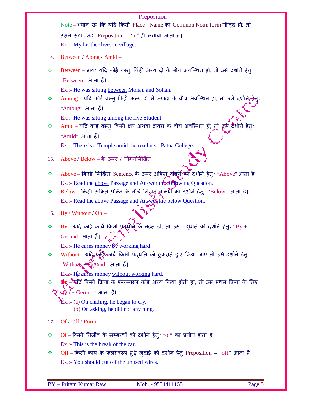|     | Preposition                                                                           |
|-----|---------------------------------------------------------------------------------------|
|     | Note - ध्यान रहे कि यदि किसी Place - Name का Common Noun form मौजूद हो, तो            |
|     | उसमें सदा - सदा Preposition – "In" ही लगाया जाता हैं।                                 |
|     | Ex.:- My brother lives in village.                                                    |
| 14. | Between / Along / Amid –                                                              |
| ❖   | Between – प्रायः यदि कोई वस्तु किंही अन्य दो के बीच अवस्थित हो, तो उसे दर्शाने हेतुः  |
|     | "Between" आता हैं।                                                                    |
|     | Ex.:- He was sitting between Mohan and Sohan.                                         |
| ❖   | Among – यदि कोई वस्तु किंही अन्य दो से ज्यादा के बीच अवस्थित हो, तो उसे दर्शाने/हेत्: |
|     | "Among" आता हैं।                                                                      |
|     | Ex.:- He was sitting among the five Student.                                          |
| ❖   | Amid – यदि कोई वस्तु किसी क्षेत्र अथवा दायरा के बीच अवस्थित हो, तो इसे दर्शाने हेत्ः  |
|     | "Amid" आता हैं।                                                                       |
|     | Ex.:- There is a Temple amid the road near Patna College.                             |
| 15. | Above / $Below -$ के ऊपर / निम्नलिखित                                                 |
| ❖   | Above – किसी लिखित Sentence के ऊपर अंकित वाक्य को दर्शाने हेतुः "Above" आता हैं।      |
|     | Ex.:- Read the above Passage and Answer the following Question.                       |
| ❖   | Below – किसी अंकित पंक्ति के नीचे लिखत वाक्योँ को दर्शाने हेतुः "Below" आता हैं।      |
|     | Ex.:- Read the above Passage and Answer the below Question.                           |
| 16. | By / Without / $On -$                                                                 |
| ❖   | By - यदि कोई कार्य किसी प्रदर्धाति के तहत हो, तो उस पद्धति को दर्शाने हेतुः "By +     |
|     | Gerund" आता हैं।                                                                      |
|     | Ex.:- He earns money by working hard.                                                 |
| ❖   | Without - यदि, कोई कार्य किसी पद्धति को ठुकराते हुए किया जाए तो उसे दर्शाने हेतुः     |
|     | "Without + Gerund" आता हैं।                                                           |
|     | Ex.:- He earns money without working hard.                                            |
| 豪   | 0n - यदि किसी क्रिया के फलस्वरूप कोई अन्य क्रिया होती हो, तो उस प्रथम क्रिया के लिए   |
|     | *ेµ + Gerund" आता हैं।                                                                |
|     | $Ex.: (a)$ On chiding, he began to cry.<br>(b) On asking, he did not anything.        |
| 17. | Of / Off / Form $-$                                                                   |
| ❖   | Of - किसी निर्जीव के सम्बन्धों को दर्शाने हेतुः "of" का प्रयोग होता हैं।              |
|     | Ex.:- This is the break of the car.                                                   |
| ❖   | Off - किसी कार्य के फलस्वरूप हुई जुदाई को दर्शाने हेतुः Preposition - "off" आता हैं।  |
|     | Ex.:- You should cut off the unused wires.                                            |
|     |                                                                                       |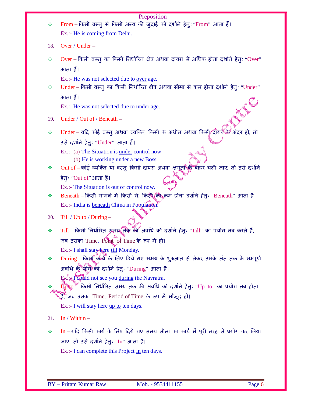|     | Preposition                                                                               |  |  |  |  |  |  |
|-----|-------------------------------------------------------------------------------------------|--|--|--|--|--|--|
| ❖   | From – किसी वस्तु से किसी अन्य की जुदाई को दर्शाने हेतुः "From" आता हैं।                  |  |  |  |  |  |  |
|     | Ex.:- He is coming from Delhi.                                                            |  |  |  |  |  |  |
| 18. | Over / $Under -$                                                                          |  |  |  |  |  |  |
| ❖   | Over – किसी वस्तु का किसी निर्धारित क्षेत्र अथवा दायरा से अधिक होना दर्शाने हेतुः "Over"  |  |  |  |  |  |  |
|     | आता हैं।                                                                                  |  |  |  |  |  |  |
|     | Ex.:- He was not selected due to <u>over</u> age.                                         |  |  |  |  |  |  |
| ❖   | Under – किसी वस्तु का किसी निर्धारित क्षेत्र अथवा सीमा से कम होना दर्शाने हेतुः "Under"   |  |  |  |  |  |  |
|     | आता हैं।                                                                                  |  |  |  |  |  |  |
|     | Ex.:- He was not selected due to <u>under</u> age.                                        |  |  |  |  |  |  |
| 19. | Under / Out of / Beneath -                                                                |  |  |  |  |  |  |
| ❖   | Under - यदि कोई वस्तु अथवा व्यक्ति, किसी के अधीन अथवा किसी दायरें के अंदर हो, तो          |  |  |  |  |  |  |
|     | उसे दर्शाने हेतुः "Under" आता हैं।                                                        |  |  |  |  |  |  |
|     | Ex.:- (a) The Situation is <u>under</u> control now.                                      |  |  |  |  |  |  |
|     | (b) He is working <u>under</u> a new Boss.                                                |  |  |  |  |  |  |
| ❖   | Out of - कोई व्यक्ति या वस्तु किसी दायरा अथवा क्षमता के बाहर चली जाए, तो उसे दर्शाने      |  |  |  |  |  |  |
|     | हेतुः "Out of" आता हैं।                                                                   |  |  |  |  |  |  |
|     | Ex.:- The Situation is <u>out of</u> control now.                                         |  |  |  |  |  |  |
| ❖   | Beneath – किसी मामले में किसी से, किसी का कम होना दर्शाने हेतुः "Beneath" आता हैं।        |  |  |  |  |  |  |
|     | Ex.:- India is <b>beneath</b> China in Population.                                        |  |  |  |  |  |  |
| 20. | Till / Up to / During $-$                                                                 |  |  |  |  |  |  |
| ❖   | Till – किसी निर्धारित समय तक की अवधि को दर्शाने हेतुः "Till" का प्रयोग तब करते हैं,       |  |  |  |  |  |  |
|     | जब उसका Time, Point of Time के रूप में हो।                                                |  |  |  |  |  |  |
|     | Ex.:- I shall stay here till Monday.                                                      |  |  |  |  |  |  |
| ❖   | During - किसी कार्य के लिए दिये गए समय के शुरुआत से लेकर उसके अंत तक के सम्पूर्ण          |  |  |  |  |  |  |
|     | अवधि के थोग को दर्शाने हेतुः "During" आता हैं।                                            |  |  |  |  |  |  |
|     | Ex.: Tcould not see you during the Navratra.                                              |  |  |  |  |  |  |
| ❖   | $Up$ to $\angle$ किसी निर्धारित समय तक की अवधि को दर्शाने हेतुः "Up to" का प्रयोग तब होता |  |  |  |  |  |  |
|     | हैं, जब उसका Time, Period of Time के रूप में मौजूद हो।                                    |  |  |  |  |  |  |
|     | Ex.:- I will stay here <u>up to</u> ten days.                                             |  |  |  |  |  |  |
| 21. | In / Within $-$                                                                           |  |  |  |  |  |  |
| ❖   | In – यदि किसी कार्य के लिए दिये गए समय सीमा का कार्य में पूरी तरह से प्रयोग कर लिया       |  |  |  |  |  |  |
|     | जाए, तो उसे दर्शाने हेतुः "In" आता हैं।                                                   |  |  |  |  |  |  |
|     |                                                                                           |  |  |  |  |  |  |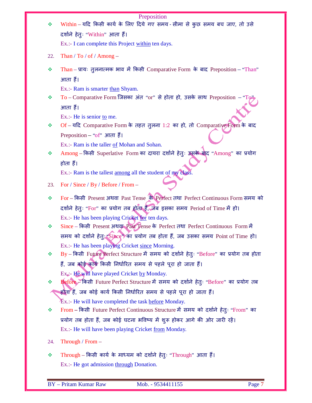| ❖   | Preposition<br>Within - यदि किसी कार्य के लिए दिये गए समय - सीमा से कुछ समय बच जाए, तो उसे |
|-----|--------------------------------------------------------------------------------------------|
|     | दर्शाने हेतुः "Within" आता हैं।                                                            |
|     | Ex.:- I can complete this Project within ten days.                                         |
|     |                                                                                            |
| 22. | Than / To / of / Among $-$                                                                 |
| ❖   | Than - प्रायः तुलनात्मक भाव में किसी Comparative Form के बाद Preposition - "Than"          |
|     | आता हैं।                                                                                   |
|     | Ex.:- Ram is smarter than Shyam.                                                           |
| ❖   | To – Comparative Form जिसका अंत "or" से होता हो, उसके साथ Preposition – "To                |
|     | आता हैं।                                                                                   |
|     | Ex.:- He is senior to me.                                                                  |
| ❖   | Of - यदि Comparative Form के तहत तुलना 1:2 का हो, तो Comparative Form के बाद               |
|     | Preposition – "of" आता हैं।                                                                |
|     | Ex.:- Ram is the taller of Mohan and Sohan.                                                |
| ❖   | Among - किसी Superlative Form का दायरा दर्शाने हेतुः उसके बाद "Among" का प्रयोग            |
|     | होता हैं।                                                                                  |
|     | Ex.:- Ram is the tallest among all the student of my class.                                |
| 23. | For / Since / By / Before / From -                                                         |
| ❖   | For - किसी Present अथवा Past Tense के Perfect तथा Perfect Continuous Form समय को           |
|     | दर्शाने हेतुः "For" का प्रयोग तब होता है, जब इसका समय Period of Time में हो।               |
|     | Ex.:- He has been playing Cricket for ten days.                                            |
| ❖   | Since - किसी Present अथवा Past Tense के Perfect तथा Perfect Continuous Form में            |
|     | समय को दर्शाने हेतु: "Since" का प्रयोग तब होता हैं, जब उसका समय Point of Time हो।          |
|     | Ex.:- He has been playing Cricket since Morning.                                           |
| ❖   | By - किसी Future Perfect Structure में समय को दर्शाने हेतुः "Before" का प्रयोग तब होता     |
|     | हैं, जब कोई कार्य किसी निर्धारित समय से पहले पूरा हो जाता हैं।                             |
|     | $Ex_{\ast}$ : He will have played Cricket by Monday.                                       |
| ❖   | Before - किसी Future Perfect Structure में समय को दर्शाने हेतुः "Before" का प्रयोग तब      |
|     | होता हैं, जब कोई कार्य किसी निर्धारित समय से पहले पूरा हो जाता हैं।                        |
|     | Ex.:- He will have completed the task before Monday.                                       |
| ❖   | From – किसी Future Perfect Continuous Structure में समय को दर्शाने हेतुः "From" का         |
|     | प्रयोग तब होता हैं, जब कोई घटना भविष्य में शुरू होकर आगे की ओर जारी रहें।                  |
|     | Ex.:- He will have been playing Cricket from Monday.                                       |
| 24. | Through / From $-$                                                                         |
| ❖   | Through – किसी कार्य के माध्यम को दर्शाने हेतुः "Through" आता हैं।                         |
|     | Ex.:- He got admission through Donation.                                                   |
|     |                                                                                            |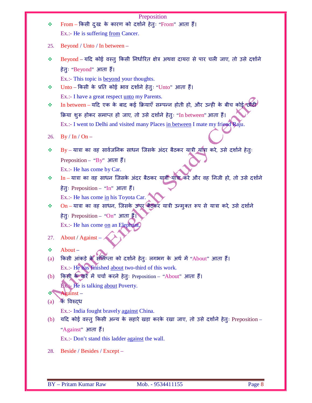| ❖        | Preposition<br>From - किसी दुख के कारण को दर्शाने हेतुः "From" आता हैं।<br>Ex.:- He is suffering from Cancer. |
|----------|---------------------------------------------------------------------------------------------------------------|
| 25.      | Beyond / Unto / In between –                                                                                  |
| ❖        | Beyond – यदि कोई वस्तु किसी निर्धारित क्षेत्र अथवा दायरा से पार चली जाए, तो उसे दर्शाने                       |
|          | हेतुः "Beyond" आता हैं।                                                                                       |
|          | Ex.:- This topic is beyond your thoughts.                                                                     |
| ❖        | Unto - किसी के प्रति कोई भाव दर्शाने हेतुः "Unto" आता हैं।                                                    |
|          | Ex.:- I have a great respect unto my Parents.                                                                 |
| ❖        | In between - यदि एक के बाद कई क्रियाएँ सम्पन्न होती हो, और उन्ही के बीच कोई छोटी                              |
|          | क्रिया शुरू होकर समाप्त हो जाए, तो उसे दर्शाने हेतुः "In between" आता हैं।                                    |
|          | Ex.:- I went to Delhi and visited many Places in between I mate my friend Raju.                               |
| 26.      | $By / In / On -$                                                                                              |
| ❖        | By – यात्रा का वह सार्वजनिक साधन जिसके अंदर बैठकर यात्री यात्रा करे, उसे दर्शाने हेतुः                        |
|          | Preposition – "By" आता हैं।                                                                                   |
|          | Ex.:- He has come by Car.                                                                                     |
| ❖        | In - यात्रा का वह साधन जिसके अंदर बैठकर यात्री यात्रा करे और वह निजी हो, तो उसे दर्शाने                       |
|          | हेतुः Preposition – "In" आता हैं।                                                                             |
|          | Ex.:- He has come in his Toyota Car.                                                                          |
| ❖        | On - यात्रा का वह साधन, जिसके ऊपर बैठकर यात्री उन्मुक्त रूप से यात्रा करे, उसे दर्शाने                        |
|          | हेतुः Preposition - "On" आता हैं।                                                                             |
|          | Ex.:- He has come on an Elephant                                                                              |
| 27.      | About / Against -                                                                                             |
| ❖        | About –                                                                                                       |
| (a)      | किसी आंकड़े के संलिप्ता को दर्शाने हेतुः लगभग के अर्थ में "About" आता हैं।                                    |
|          | Ex.:- He has finished about two-third of this work.                                                           |
| (b)      | किसी के बारें में चर्चा करने हेतुः Preposition - "About" आता हैं।                                             |
|          | <b>Ex.</b> Fre is talking about Poverty.                                                                      |
| ❖<br>(a) | Against-<br>ैक विरुदध                                                                                         |
|          | Ex.:- India fought bravely against China.                                                                     |
| (b)      | यदि कोई वस्तु किसी अन्य के सहारे खड़ा करके रखा जाए, तो उसे दर्शाने हेतुः Preposition –                        |
|          | "Against" आता हैं।                                                                                            |
|          | Ex.:- Don't stand this ladder <u>against</u> the wall.                                                        |
| 28.      | Beside / Besides / Except -                                                                                   |
|          |                                                                                                               |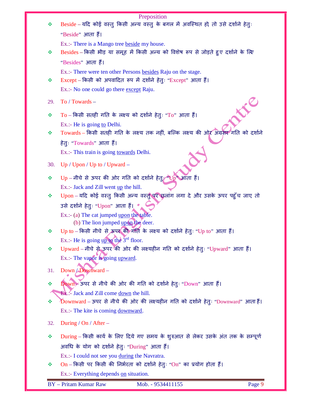| Beside – यदि कोई वस्तु किसी अन्य वस्तु के बगल में अवस्थित हो, तो उसे दर्शाने हेतुः<br>"Beside" आता हैं।<br>Ex.:- There is a Mango tree beside my house.<br>Besides – किसी भीड़ या समूह में किसी अन्य को विशेष रूप से जोड़ते हुए दर्शाने के लिए<br>"Besides" आता हैं।<br>Ex.:- There were ten other Persons besides Raju on the stage.<br>Except – किसी को अपवादित रूप में दर्शाने हेतुः "Except" आता हैं।<br>Ex.:- No one could go there except Raju.<br>To / Towards -<br>PROFESSION<br>To – किसी सतही गति के लक्ष्य को दर्शाने हेतुः "To" आता हैं।<br>Ex.:- He is going to Delhi.<br>Towards - किसी सतही गति के लक्ष्य तक नहीं, बल्कि लक्ष्य की ओर अग्रसर गति को दर्शाने<br>हेतुः "Towards" आता हैं।<br>Ex.:- This train is going towards Delhi.<br>$Up / Upon / Up$ to / $Upward -$<br>$Up$ – नीचे से ऊपर की ओर गति को दर्शाने हेतु; "Up" आता हैं।<br>Ex.:- Jack and Zill went up the hill.<br>Upon - यदि कोई वस्तु किसी अन्य वस्तु पर छलांग लगा दे और उसके ऊपर पहुँच जाए तो<br>उसे दर्शाने हेतुः "Upon" आता हैं। *<br>$Ex.(-a)$ The cat jumped upon the table.<br>(b) The lion jumped $\mu_0$ the deer.<br>Up to – किसी नीचे से ऊपर की गति के लक्ष्य को दर्शाने हेतुः "Up to" आता हैं।<br>Ex.:- He is going $\frac{up \cdot \phi}{up \cdot \phi}$ the $3^{rd}$ floor.<br>Upward - नीचे से ऊपर की ओर की लक्ष्यहीन गति को दर्शाने हेतुः "Upward" आता हैं।<br>Ex.:- The vapor is going upward.<br>Down $\sqrt{D}$ Downward –<br>Down⊁ ऊपर से नीचे की ओर की गति को दर्शाने हेतुः "Down" आता हैं।<br><b>Ex.</b> : Jack and Zill come <u>down</u> the hill.<br>$\Delta$ Downward – ऊपर से नीचे की ओर की लक्ष्यहीन गति को दर्शाने हेतुः "Downward" आता $\,$ हैं।<br>Ex.:- The kite is coming downward.<br>During / On / After $-$<br>During – किसी कार्य के लिए दिये गए समय के शुरुआत से लेकर उसके अंत तक के सम्पूर्ण<br>अवधि के योग को दर्शाने हेतुः "During" आता हैं।<br>Ex.:- I could not see you during the Navratra.<br>$On$ – किसी पर किसी की निर्भरता को दर्शाने हेतुः "On" का प्रयोग होता हैं।<br>Ex.:- Everything depends on situation. |     | Preposition                                                 |
|-----------------------------------------------------------------------------------------------------------------------------------------------------------------------------------------------------------------------------------------------------------------------------------------------------------------------------------------------------------------------------------------------------------------------------------------------------------------------------------------------------------------------------------------------------------------------------------------------------------------------------------------------------------------------------------------------------------------------------------------------------------------------------------------------------------------------------------------------------------------------------------------------------------------------------------------------------------------------------------------------------------------------------------------------------------------------------------------------------------------------------------------------------------------------------------------------------------------------------------------------------------------------------------------------------------------------------------------------------------------------------------------------------------------------------------------------------------------------------------------------------------------------------------------------------------------------------------------------------------------------------------------------------------------------------------------------------------------------------------------------------------------------------------------------------------------------------------------------------------------------------------------------------------------------------------------------------------------------------------------------------------------------------------------------|-----|-------------------------------------------------------------|
|                                                                                                                                                                                                                                                                                                                                                                                                                                                                                                                                                                                                                                                                                                                                                                                                                                                                                                                                                                                                                                                                                                                                                                                                                                                                                                                                                                                                                                                                                                                                                                                                                                                                                                                                                                                                                                                                                                                                                                                                                                               | ÷   |                                                             |
|                                                                                                                                                                                                                                                                                                                                                                                                                                                                                                                                                                                                                                                                                                                                                                                                                                                                                                                                                                                                                                                                                                                                                                                                                                                                                                                                                                                                                                                                                                                                                                                                                                                                                                                                                                                                                                                                                                                                                                                                                                               |     |                                                             |
|                                                                                                                                                                                                                                                                                                                                                                                                                                                                                                                                                                                                                                                                                                                                                                                                                                                                                                                                                                                                                                                                                                                                                                                                                                                                                                                                                                                                                                                                                                                                                                                                                                                                                                                                                                                                                                                                                                                                                                                                                                               |     |                                                             |
|                                                                                                                                                                                                                                                                                                                                                                                                                                                                                                                                                                                                                                                                                                                                                                                                                                                                                                                                                                                                                                                                                                                                                                                                                                                                                                                                                                                                                                                                                                                                                                                                                                                                                                                                                                                                                                                                                                                                                                                                                                               | ❖   |                                                             |
|                                                                                                                                                                                                                                                                                                                                                                                                                                                                                                                                                                                                                                                                                                                                                                                                                                                                                                                                                                                                                                                                                                                                                                                                                                                                                                                                                                                                                                                                                                                                                                                                                                                                                                                                                                                                                                                                                                                                                                                                                                               |     |                                                             |
|                                                                                                                                                                                                                                                                                                                                                                                                                                                                                                                                                                                                                                                                                                                                                                                                                                                                                                                                                                                                                                                                                                                                                                                                                                                                                                                                                                                                                                                                                                                                                                                                                                                                                                                                                                                                                                                                                                                                                                                                                                               |     |                                                             |
|                                                                                                                                                                                                                                                                                                                                                                                                                                                                                                                                                                                                                                                                                                                                                                                                                                                                                                                                                                                                                                                                                                                                                                                                                                                                                                                                                                                                                                                                                                                                                                                                                                                                                                                                                                                                                                                                                                                                                                                                                                               | ❖   |                                                             |
|                                                                                                                                                                                                                                                                                                                                                                                                                                                                                                                                                                                                                                                                                                                                                                                                                                                                                                                                                                                                                                                                                                                                                                                                                                                                                                                                                                                                                                                                                                                                                                                                                                                                                                                                                                                                                                                                                                                                                                                                                                               |     |                                                             |
|                                                                                                                                                                                                                                                                                                                                                                                                                                                                                                                                                                                                                                                                                                                                                                                                                                                                                                                                                                                                                                                                                                                                                                                                                                                                                                                                                                                                                                                                                                                                                                                                                                                                                                                                                                                                                                                                                                                                                                                                                                               | 29. |                                                             |
|                                                                                                                                                                                                                                                                                                                                                                                                                                                                                                                                                                                                                                                                                                                                                                                                                                                                                                                                                                                                                                                                                                                                                                                                                                                                                                                                                                                                                                                                                                                                                                                                                                                                                                                                                                                                                                                                                                                                                                                                                                               | ❖   |                                                             |
|                                                                                                                                                                                                                                                                                                                                                                                                                                                                                                                                                                                                                                                                                                                                                                                                                                                                                                                                                                                                                                                                                                                                                                                                                                                                                                                                                                                                                                                                                                                                                                                                                                                                                                                                                                                                                                                                                                                                                                                                                                               |     |                                                             |
|                                                                                                                                                                                                                                                                                                                                                                                                                                                                                                                                                                                                                                                                                                                                                                                                                                                                                                                                                                                                                                                                                                                                                                                                                                                                                                                                                                                                                                                                                                                                                                                                                                                                                                                                                                                                                                                                                                                                                                                                                                               | ❖   |                                                             |
|                                                                                                                                                                                                                                                                                                                                                                                                                                                                                                                                                                                                                                                                                                                                                                                                                                                                                                                                                                                                                                                                                                                                                                                                                                                                                                                                                                                                                                                                                                                                                                                                                                                                                                                                                                                                                                                                                                                                                                                                                                               |     |                                                             |
|                                                                                                                                                                                                                                                                                                                                                                                                                                                                                                                                                                                                                                                                                                                                                                                                                                                                                                                                                                                                                                                                                                                                                                                                                                                                                                                                                                                                                                                                                                                                                                                                                                                                                                                                                                                                                                                                                                                                                                                                                                               |     |                                                             |
|                                                                                                                                                                                                                                                                                                                                                                                                                                                                                                                                                                                                                                                                                                                                                                                                                                                                                                                                                                                                                                                                                                                                                                                                                                                                                                                                                                                                                                                                                                                                                                                                                                                                                                                                                                                                                                                                                                                                                                                                                                               | 30. |                                                             |
|                                                                                                                                                                                                                                                                                                                                                                                                                                                                                                                                                                                                                                                                                                                                                                                                                                                                                                                                                                                                                                                                                                                                                                                                                                                                                                                                                                                                                                                                                                                                                                                                                                                                                                                                                                                                                                                                                                                                                                                                                                               | ❖   |                                                             |
|                                                                                                                                                                                                                                                                                                                                                                                                                                                                                                                                                                                                                                                                                                                                                                                                                                                                                                                                                                                                                                                                                                                                                                                                                                                                                                                                                                                                                                                                                                                                                                                                                                                                                                                                                                                                                                                                                                                                                                                                                                               |     |                                                             |
|                                                                                                                                                                                                                                                                                                                                                                                                                                                                                                                                                                                                                                                                                                                                                                                                                                                                                                                                                                                                                                                                                                                                                                                                                                                                                                                                                                                                                                                                                                                                                                                                                                                                                                                                                                                                                                                                                                                                                                                                                                               | ❖   |                                                             |
|                                                                                                                                                                                                                                                                                                                                                                                                                                                                                                                                                                                                                                                                                                                                                                                                                                                                                                                                                                                                                                                                                                                                                                                                                                                                                                                                                                                                                                                                                                                                                                                                                                                                                                                                                                                                                                                                                                                                                                                                                                               |     |                                                             |
|                                                                                                                                                                                                                                                                                                                                                                                                                                                                                                                                                                                                                                                                                                                                                                                                                                                                                                                                                                                                                                                                                                                                                                                                                                                                                                                                                                                                                                                                                                                                                                                                                                                                                                                                                                                                                                                                                                                                                                                                                                               |     |                                                             |
|                                                                                                                                                                                                                                                                                                                                                                                                                                                                                                                                                                                                                                                                                                                                                                                                                                                                                                                                                                                                                                                                                                                                                                                                                                                                                                                                                                                                                                                                                                                                                                                                                                                                                                                                                                                                                                                                                                                                                                                                                                               |     |                                                             |
|                                                                                                                                                                                                                                                                                                                                                                                                                                                                                                                                                                                                                                                                                                                                                                                                                                                                                                                                                                                                                                                                                                                                                                                                                                                                                                                                                                                                                                                                                                                                                                                                                                                                                                                                                                                                                                                                                                                                                                                                                                               | ❖   |                                                             |
|                                                                                                                                                                                                                                                                                                                                                                                                                                                                                                                                                                                                                                                                                                                                                                                                                                                                                                                                                                                                                                                                                                                                                                                                                                                                                                                                                                                                                                                                                                                                                                                                                                                                                                                                                                                                                                                                                                                                                                                                                                               |     |                                                             |
|                                                                                                                                                                                                                                                                                                                                                                                                                                                                                                                                                                                                                                                                                                                                                                                                                                                                                                                                                                                                                                                                                                                                                                                                                                                                                                                                                                                                                                                                                                                                                                                                                                                                                                                                                                                                                                                                                                                                                                                                                                               | ❖   |                                                             |
|                                                                                                                                                                                                                                                                                                                                                                                                                                                                                                                                                                                                                                                                                                                                                                                                                                                                                                                                                                                                                                                                                                                                                                                                                                                                                                                                                                                                                                                                                                                                                                                                                                                                                                                                                                                                                                                                                                                                                                                                                                               |     |                                                             |
|                                                                                                                                                                                                                                                                                                                                                                                                                                                                                                                                                                                                                                                                                                                                                                                                                                                                                                                                                                                                                                                                                                                                                                                                                                                                                                                                                                                                                                                                                                                                                                                                                                                                                                                                                                                                                                                                                                                                                                                                                                               | 31. |                                                             |
|                                                                                                                                                                                                                                                                                                                                                                                                                                                                                                                                                                                                                                                                                                                                                                                                                                                                                                                                                                                                                                                                                                                                                                                                                                                                                                                                                                                                                                                                                                                                                                                                                                                                                                                                                                                                                                                                                                                                                                                                                                               | ❖   |                                                             |
|                                                                                                                                                                                                                                                                                                                                                                                                                                                                                                                                                                                                                                                                                                                                                                                                                                                                                                                                                                                                                                                                                                                                                                                                                                                                                                                                                                                                                                                                                                                                                                                                                                                                                                                                                                                                                                                                                                                                                                                                                                               |     |                                                             |
|                                                                                                                                                                                                                                                                                                                                                                                                                                                                                                                                                                                                                                                                                                                                                                                                                                                                                                                                                                                                                                                                                                                                                                                                                                                                                                                                                                                                                                                                                                                                                                                                                                                                                                                                                                                                                                                                                                                                                                                                                                               | ÷   |                                                             |
|                                                                                                                                                                                                                                                                                                                                                                                                                                                                                                                                                                                                                                                                                                                                                                                                                                                                                                                                                                                                                                                                                                                                                                                                                                                                                                                                                                                                                                                                                                                                                                                                                                                                                                                                                                                                                                                                                                                                                                                                                                               |     |                                                             |
|                                                                                                                                                                                                                                                                                                                                                                                                                                                                                                                                                                                                                                                                                                                                                                                                                                                                                                                                                                                                                                                                                                                                                                                                                                                                                                                                                                                                                                                                                                                                                                                                                                                                                                                                                                                                                                                                                                                                                                                                                                               | 32. |                                                             |
|                                                                                                                                                                                                                                                                                                                                                                                                                                                                                                                                                                                                                                                                                                                                                                                                                                                                                                                                                                                                                                                                                                                                                                                                                                                                                                                                                                                                                                                                                                                                                                                                                                                                                                                                                                                                                                                                                                                                                                                                                                               | ❖   |                                                             |
|                                                                                                                                                                                                                                                                                                                                                                                                                                                                                                                                                                                                                                                                                                                                                                                                                                                                                                                                                                                                                                                                                                                                                                                                                                                                                                                                                                                                                                                                                                                                                                                                                                                                                                                                                                                                                                                                                                                                                                                                                                               |     |                                                             |
|                                                                                                                                                                                                                                                                                                                                                                                                                                                                                                                                                                                                                                                                                                                                                                                                                                                                                                                                                                                                                                                                                                                                                                                                                                                                                                                                                                                                                                                                                                                                                                                                                                                                                                                                                                                                                                                                                                                                                                                                                                               |     |                                                             |
|                                                                                                                                                                                                                                                                                                                                                                                                                                                                                                                                                                                                                                                                                                                                                                                                                                                                                                                                                                                                                                                                                                                                                                                                                                                                                                                                                                                                                                                                                                                                                                                                                                                                                                                                                                                                                                                                                                                                                                                                                                               | ❖   |                                                             |
|                                                                                                                                                                                                                                                                                                                                                                                                                                                                                                                                                                                                                                                                                                                                                                                                                                                                                                                                                                                                                                                                                                                                                                                                                                                                                                                                                                                                                                                                                                                                                                                                                                                                                                                                                                                                                                                                                                                                                                                                                                               |     |                                                             |
|                                                                                                                                                                                                                                                                                                                                                                                                                                                                                                                                                                                                                                                                                                                                                                                                                                                                                                                                                                                                                                                                                                                                                                                                                                                                                                                                                                                                                                                                                                                                                                                                                                                                                                                                                                                                                                                                                                                                                                                                                                               |     | <b>BY</b> - Pritam Kumar Raw<br>Page 9<br>Mob. - 9534411155 |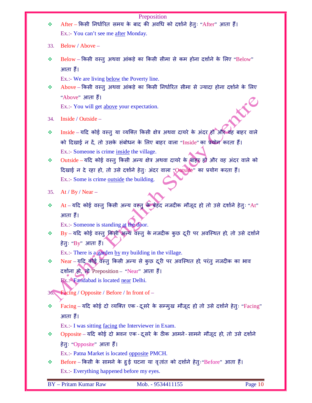| ❖   | Preposition<br>After – किसी निर्धारित समय के बाद की अवधि को दर्शाने हेतुः "After" आता हैं।                                       |
|-----|----------------------------------------------------------------------------------------------------------------------------------|
|     | Ex.:- You can't see me after Monday.                                                                                             |
|     |                                                                                                                                  |
| 33. | Below / Above -                                                                                                                  |
| ❖   | Below – किसी वस्तु अथवा आंकड़े का किसी सीमा से कम होना दर्शाने के लिए "Below"                                                    |
|     | आता हैं।                                                                                                                         |
|     | Ex.:- We are living below the Poverty line.                                                                                      |
| ❖   | Above–किसी वस्तु अथवा आंकड़े का किसी निर्धारित सीमा से ज्यादा होना दर्शाने के लिए                                                |
|     | "Above" आता हैं।                                                                                                                 |
|     | Ex.:- You will get above your expectation.                                                                                       |
| 34. | Inside / Outside -                                                                                                               |
|     |                                                                                                                                  |
| ❖   | Inside - यदि कोई वस्तु या व्यक्ति किसी क्षेत्र अथवा दायरे के अंदर ही और वह बाहर वाले                                             |
|     | को दिखाई न दें, तो उसके संबोधन के लिए बाहर वाला "Inside" का प्रयोग करता हैं।                                                     |
|     | Ex.:- Someone is crime inside the village.<br>Outside - यदि कोई वस्तु किसी अन्य क्षेत्र अथवा दायरे के बाहर हो और वह अंदर वाले को |
| ❖   |                                                                                                                                  |
|     | दिखाई न दे रहा हो, तो उसे दर्शाने हेतुः अंदर वाला "Outside" का प्रयोग करता हैं।                                                  |
|     | Ex.:- Some is crime outside the building.                                                                                        |
| 35. | At / By / Near $-$                                                                                                               |
| ❖   | At - यदि कोई वस्तु किसी अन्य वस्तु के बेहद नजदीक मौजूद हो तो उसे दर्शाने हेतुः "At"                                              |
|     | आता हैं।                                                                                                                         |
|     | Ex.:- Someone is standing at the door.                                                                                           |
| ❖   | By - यदि कोई वस्तु किसी अन्य वस्तु के नजदीक कुछ दूरी पर अवस्थित हो, तो उसे दर्शाने                                               |
|     | हेतुः "By" आता हैं।                                                                                                              |
|     | Ex.:- There is a garden by my building in the village.                                                                           |
| ❖   | Near - यूदि कोई वस्तु किसी अन्य से कुछ दूरी पर अवस्थित हो परंतु नजदीक का भाव                                                     |
|     | दर्शाना हो, तो Preposition - "Near" आता हैं।                                                                                     |
|     | Ex.: <sup>2</sup> Faridabad is located near Delhi.                                                                               |
| 36. | $\rightarrow$ Facing / Opposite / Before / In front of –                                                                         |
| ❖   | Facing - यदि कोई दो व्यक्ति एक - दूसरे के सम्मुख मौजूद हो तो उसे दर्शाने हेतुः "Facing"                                          |
|     | आता हैं।                                                                                                                         |
|     | Ex.:- I was sitting <u>facing</u> the Interviewer in Exam.                                                                       |
| ❖   | Opposite – यदि कोई दो भवन एक - दूसरे के ठीक आमने - सामने मौजूद हो, तो उसे दर्शाने                                                |
|     | हेतुः "Opposite" आता हैं।                                                                                                        |
|     | Ex.:- Patna Market is located opposite PMCH.                                                                                     |
| ❖   | Before - किसी के सामने के हुई घटना या वृतांत को दर्शाने हेतुः "Before" आता हैं।                                                  |
|     | Ex.:- Everything happened before my eyes.                                                                                        |
|     | <b>BY</b> - Pritam Kumar Raw<br>Page 10<br>Mob. - 9534411155                                                                     |
|     |                                                                                                                                  |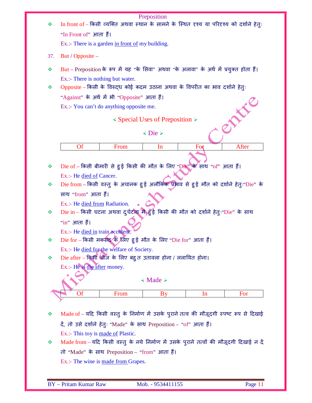|        |                                                                                                                   | Preposition<br>In front of – किसी व्यक्ति अथवा स्थान के सामने के स्थित दृश्य या परिदृश्य को दर्शाने हेतुः |                                                          |     |                                                                                          |  |  |  |  |
|--------|-------------------------------------------------------------------------------------------------------------------|-----------------------------------------------------------------------------------------------------------|----------------------------------------------------------|-----|------------------------------------------------------------------------------------------|--|--|--|--|
|        | "In Front of" आता हैं।                                                                                            |                                                                                                           |                                                          |     |                                                                                          |  |  |  |  |
|        | Ex.:- There is a garden in front of my building.                                                                  |                                                                                                           |                                                          |     |                                                                                          |  |  |  |  |
| 37.    | But / Opposite $-$                                                                                                |                                                                                                           |                                                          |     |                                                                                          |  |  |  |  |
|        |                                                                                                                   |                                                                                                           |                                                          |     |                                                                                          |  |  |  |  |
| ❖      |                                                                                                                   |                                                                                                           |                                                          |     | But – Preposition के रूप में यह "के सिवा" अथवा "के अलावा" के अर्थ में प्रयुक्त होता हैं। |  |  |  |  |
|        | Ex.:- There is nothing but water.<br>Opposite - किसी के विरुद्ध कोई कदम उठाना अथवा के विपरीत का भाव दर्शाने हेतुः |                                                                                                           |                                                          |     |                                                                                          |  |  |  |  |
| ÷      |                                                                                                                   |                                                                                                           |                                                          |     |                                                                                          |  |  |  |  |
|        | "Against" के अर्थ में भी "Opposite" आता हैं।                                                                      |                                                                                                           |                                                          |     |                                                                                          |  |  |  |  |
|        | Ex.:- You can't do anything opposite me.                                                                          |                                                                                                           |                                                          |     | KENT OF STRAIN                                                                           |  |  |  |  |
|        |                                                                                                                   |                                                                                                           | $\triangle$ Special Uses of Preposition $\triangleright$ |     |                                                                                          |  |  |  |  |
|        |                                                                                                                   |                                                                                                           | $\langle$ Die $\rangle$                                  |     |                                                                                          |  |  |  |  |
|        |                                                                                                                   |                                                                                                           |                                                          |     |                                                                                          |  |  |  |  |
|        | <b>Of</b>                                                                                                         | From                                                                                                      | In                                                       | For | After                                                                                    |  |  |  |  |
|        |                                                                                                                   |                                                                                                           |                                                          |     |                                                                                          |  |  |  |  |
| ❖      |                                                                                                                   | Die of – किसी बीमारी से हुई किसी की मौत के लिए "Die" के साथ "of" आता हैं।                                 |                                                          |     |                                                                                          |  |  |  |  |
|        | Ex.:- He died of Cancer.                                                                                          |                                                                                                           |                                                          |     |                                                                                          |  |  |  |  |
| ❖      | Die from - किसी वस्तु के अचानक हुई अलौकिक प्रश्नाव से हुई मौत को दर्शाने हेतुः "Die" के                           |                                                                                                           |                                                          |     |                                                                                          |  |  |  |  |
|        |                                                                                                                   |                                                                                                           |                                                          |     |                                                                                          |  |  |  |  |
|        | साथ "from" आता हैं।                                                                                               |                                                                                                           |                                                          |     |                                                                                          |  |  |  |  |
|        | Ex.:- He died from Radiation.                                                                                     |                                                                                                           |                                                          |     |                                                                                          |  |  |  |  |
|        | Die in - किसी घटना अथवा दुर्घटना में हुई किसी की मौत को दर्शाने हेतुः Die" के साथ                                 |                                                                                                           |                                                          |     |                                                                                          |  |  |  |  |
|        | "in" आता हैं।                                                                                                     |                                                                                                           |                                                          |     |                                                                                          |  |  |  |  |
|        | Ex.:- He died in train accident.                                                                                  |                                                                                                           |                                                          |     |                                                                                          |  |  |  |  |
| ❖<br>❖ |                                                                                                                   |                                                                                                           |                                                          |     |                                                                                          |  |  |  |  |
|        | Die for – किसी मकसद के लिए हुई मौत के लिए "Die for" आता हैं।<br>Ex.:- He died for the welfare of Society.         |                                                                                                           |                                                          |     |                                                                                          |  |  |  |  |
| ❖      | Die after – किसी चीज के लिए बहु त उतावला होना / ललायित होना।                                                      |                                                                                                           |                                                          |     |                                                                                          |  |  |  |  |
|        | Ex.:- He is die after money.                                                                                      |                                                                                                           |                                                          |     |                                                                                          |  |  |  |  |
|        |                                                                                                                   |                                                                                                           |                                                          |     |                                                                                          |  |  |  |  |
|        |                                                                                                                   |                                                                                                           | $\triangleleft$ Made $\triangleright$                    |     |                                                                                          |  |  |  |  |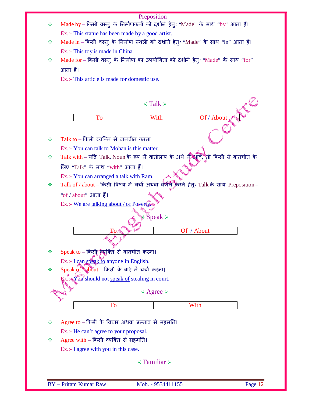|   | Preposition                                                                           |
|---|---------------------------------------------------------------------------------------|
| ❖ | Made by - किसी वस्तु के निर्माणकर्ता को दर्शाने हेतुः "Made" के साथ "by" आता हैं।     |
|   | Ex.:- This statue has been made by a good artist.                                     |
|   |                                                                                       |
| ❖ | Made in – किसी वस्तु के निर्माण स्थली को दर्शाने हेतुः "Made" के साथ "in" आता हैं।    |
|   | Ex.:- This toy is made in China.                                                      |
| ❖ | Made for - किसी वस्तु के निर्माण का उपयोगिता को दर्शाने हेतुः "Made" के साथ "for"     |
|   | आता हैं।                                                                              |
|   | Ex.:- This article is made for domestic use.                                          |
|   |                                                                                       |
|   |                                                                                       |
|   | $\le$ Talk $\ge$                                                                      |
|   |                                                                                       |
|   | Of / About<br><b>To</b><br>With                                                       |
|   |                                                                                       |
|   |                                                                                       |
| ❖ | Talk to - किसी व्यक्ति से बातचीत करना।                                                |
|   | Ex.:- You can talk to Mohan is this matter.                                           |
| ❖ | Talk with - यदि Talk, Noun के रूप में वार्तालाप के अर्थ में आवे, तो किसी से बातचीत के |
|   | लिए "Talk" के साथ "with" आता हैं।                                                     |
|   | Ex.:- You can arranged a talk with Ram.                                               |
| ❖ | Talk of / about - किसी विषय में चर्चा अथवा वर्णन करने हेतुः Talk के साथ Preposition - |
|   |                                                                                       |
|   | "of / about" आता हैं।                                                                 |
|   | Ex.:- We are talking about / of Poverty                                               |
|   | <i>∛</i> Speak ≻                                                                      |
|   |                                                                                       |
|   | Of / About                                                                            |
|   |                                                                                       |
| ❖ | Speak to - किसी व्यक्ति से बातचीत करना।                                               |
|   |                                                                                       |
|   | Ex.:- I can speak to anyone in English.                                               |
| ❖ | Speak of about - किसी के बारे में चर्चा करना।                                         |
|   | Ex.: You should not speak of stealing in court.                                       |
|   | $\triangle$ Agree $\triangleright$                                                    |
|   |                                                                                       |
|   | With<br>To                                                                            |
|   |                                                                                       |
| ❖ | Agree to – किसी के विचार अथवा प्रस्ताव से सहमति।                                      |
|   | Ex.:- He can't agree to your proposal.                                                |
| ❖ | Agree with $-$ किसी व्यक्ति से सहमति।                                                 |
|   | Ex.:- I agree with you in this case.                                                  |
|   |                                                                                       |
|   | $\leq$ Familiar $\geq$                                                                |
|   |                                                                                       |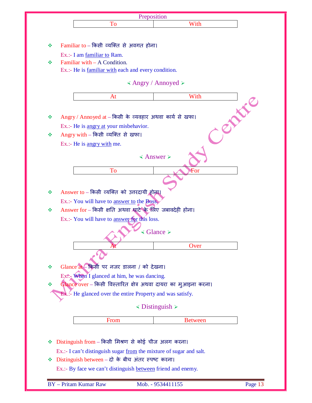| With<br>To                                                          |
|---------------------------------------------------------------------|
|                                                                     |
|                                                                     |
|                                                                     |
| Familiar to $-$ किसी व्यक्ति से अवगत होना।                          |
| Ex.:- I am familiar to Ram.<br>Familiar with – A Condition.         |
| Ex.:- He is familiar with each and every condition.                 |
|                                                                     |
| $\triangle$ Angry / Annoyed $\triangleright$                        |
|                                                                     |
| With<br>At                                                          |
|                                                                     |
| Angry / Annoyed at - किसी के व्यवहार अथवा कार्य से खफा।             |
| Ex.:- He is angry at your misbehavior.                              |
| Angry with - किसी व्यक्ति से खफा।                                   |
| Ex.:- He is angry with me.                                          |
|                                                                     |
| $\triangle$ Answer $\triangleright$                                 |
| To<br>For                                                           |
|                                                                     |
|                                                                     |
| Answer to - किसी व्यक्ति को उत्तरदायी होना।                         |
| Ex.:- You will have to answer to the Boss.                          |
| Answer for – किसी क्षति अथवा श्वाटे के लिए जबावदेही होना।           |
| Ex.:- You will have to answer for this loss.                        |
| $\triangleleft$ Glance $\triangleright$                             |
|                                                                     |
| Over                                                                |
|                                                                     |
| Glance at - किसी पर नजर डालना / को देखना।                           |
|                                                                     |
| $Ex\ddot{\mathbb{R}}$ When I glanced at him, he was dancing.        |
| Glance over - किसी विस्तारित क्षेत्र अथवा दायरा का मुआइना करना।     |
| <b>Ex.:- He glanced over the entire Property and was satisfy.</b>   |
| $≤$ Distinguish $≥$                                                 |
|                                                                     |
| From<br><b>Between</b>                                              |
|                                                                     |
| Distinguish from - किसी मिश्रण से कोई चीज अलग करना।                 |
| Ex.:- I can't distinguish sugar from the mixture of sugar and salt. |
| Distinguish between - दो के बीच अंतर स्पष्ट करना।                   |
| Ex.:- By face we can't distinguish between friend and enemy.        |
|                                                                     |
| <b>BY</b> - Pritam Kumar Raw<br>Page 13<br>Mob. - 9534411155        |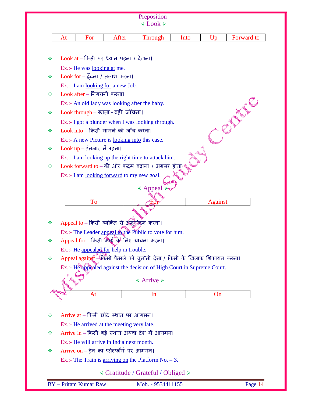|   |    |                                    |                                                      | Preposition                                                             |      |                |            |
|---|----|------------------------------------|------------------------------------------------------|-------------------------------------------------------------------------|------|----------------|------------|
|   |    |                                    |                                                      | $\leq$ Look $\geq$                                                      |      |                |            |
|   | At | For                                | After                                                | <b>Through</b>                                                          | Into | Up             | Forward to |
|   |    |                                    |                                                      |                                                                         |      |                |            |
| ❖ |    |                                    | $Look at -$ किसी पर ध्यान पड़ना / देखना।             |                                                                         |      |                |            |
|   |    | Ex.:- He was <u>looking at</u> me. |                                                      |                                                                         |      |                |            |
| ❖ |    |                                    | $Look for - \xi$ ढना / तलाश करना।                    |                                                                         |      |                |            |
|   |    |                                    | Ex.:- I am <u>looking for</u> a new Job.             |                                                                         |      |                |            |
| ❖ |    | $Look$ after - निगरानी करना।       |                                                      |                                                                         |      |                |            |
|   |    |                                    | Ex.:- An old lady was <u>looking after</u> the baby. |                                                                         |      |                |            |
| ❖ |    |                                    | $Look$ through – खाता - वही जाँचना।                  |                                                                         |      |                | <b>ANC</b> |
|   |    |                                    |                                                      | Ex.:- I got a blunder when I was <u>looking through</u> .               |      |                |            |
| ❖ |    |                                    | $Look$ into - किसी मामले की जाँच करना।               |                                                                         |      |                |            |
|   |    |                                    | Ex.:- A new Picture is looking into this case.       |                                                                         |      |                |            |
| ❖ |    | $Look up - \xiतजार में रहना।$      |                                                      |                                                                         |      |                |            |
|   |    |                                    |                                                      | Ex.:- I am looking up the right time to attack him.                     |      |                |            |
| ❖ |    |                                    |                                                      | $Look$ forward to - की ओर कदम बढ़ाना / अग्रसर होना।                     |      |                |            |
|   |    |                                    | Ex.:- I am looking forward to my new goal.           |                                                                         |      |                |            |
|   |    |                                    |                                                      | $\triangleleft$ Appeal $\triangleright$                                 |      |                |            |
|   |    | <b>To</b>                          |                                                      | ∹oı                                                                     |      | <b>Against</b> |            |
|   |    |                                    |                                                      |                                                                         |      |                |            |
|   |    |                                    |                                                      |                                                                         |      |                |            |
| ❖ |    |                                    | Appeal to - किसी व्यक्ति से अनुमोदन करना।            |                                                                         |      |                |            |
|   |    |                                    | Appeal for - किसी कार्य के लिए याचना करना।           | Ex.:- The Leader appeal to the Public to vote for him.                  |      |                |            |
| ❖ |    |                                    | Ex.:- He appealed for help in trouble.               |                                                                         |      |                |            |
| ❖ |    |                                    |                                                      | Appeal against - किसी फैसले को चुनौती देना / किसी के खिलाफ शिकायत करना। |      |                |            |
|   |    |                                    |                                                      | Ex.:- He appealed against the decision of High Court in Supreme Court.  |      |                |            |
|   |    |                                    |                                                      |                                                                         |      |                |            |
|   |    |                                    |                                                      | $\triangle$ Arrive $\triangleright$                                     |      |                |            |
|   |    | At                                 |                                                      | In                                                                      |      | On             |            |
|   |    |                                    |                                                      |                                                                         |      |                |            |
| ❖ |    |                                    | Arrive at $-$ किसी छोटे स्थान पर आगमन।               |                                                                         |      |                |            |
|   |    |                                    | Ex.:- He arrived at the meeting very late.           |                                                                         |      |                |            |
| ❖ |    |                                    |                                                      | Arrive in – किसी बड़े स्थान अथवा देश में आगमन।                          |      |                |            |
|   |    |                                    | Ex.:- He will arrive in India next month.            |                                                                         |      |                |            |
| ❖ |    |                                    | Arrive on $-$ ट्रेन का प्लेटफॉर्म पर आगमन।           |                                                                         |      |                |            |
|   |    |                                    |                                                      | Ex.:- The Train is <u>arriving on</u> the Platform No. $-3$ .           |      |                |            |
|   |    |                                    |                                                      | $\triangleleft$ Gratitude / Grateful / Obliged $\triangleright$         |      |                |            |
|   |    |                                    |                                                      |                                                                         |      |                |            |
|   |    | <b>BY</b> - Pritam Kumar Raw       |                                                      | Mob. - 9534411155                                                       |      |                | Page 14    |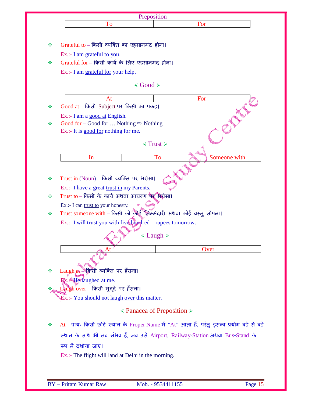|   | Preposition                                                                                                                        |                                                                                             |  |  |
|---|------------------------------------------------------------------------------------------------------------------------------------|---------------------------------------------------------------------------------------------|--|--|
|   | To                                                                                                                                 | For                                                                                         |  |  |
|   |                                                                                                                                    |                                                                                             |  |  |
| 豪 | Grateful to – किसी व्यक्ति का एहसानमंद होना।                                                                                       |                                                                                             |  |  |
|   | Ex.:- I am grateful to you.                                                                                                        |                                                                                             |  |  |
| 豪 | Grateful for - किसी कार्य के लिए एहसानमंद होना।                                                                                    |                                                                                             |  |  |
|   | Ex.:- I am grateful for your help.                                                                                                 |                                                                                             |  |  |
|   |                                                                                                                                    |                                                                                             |  |  |
|   | $\triangleleft$ Good $\succ$                                                                                                       |                                                                                             |  |  |
|   | At                                                                                                                                 | For                                                                                         |  |  |
| 豪 | Good at - किसी Subject पर किसी का पकड़।                                                                                            |                                                                                             |  |  |
|   | Ex.:- I am a good at English.                                                                                                      |                                                                                             |  |  |
| ❖ | Good for – Good for  Nothing $\Rightarrow$ Nothing.                                                                                |                                                                                             |  |  |
|   | Ex.:- It is good for nothing for me.                                                                                               |                                                                                             |  |  |
|   |                                                                                                                                    | $\le$ Trust $\ge$                                                                           |  |  |
|   |                                                                                                                                    |                                                                                             |  |  |
|   | In                                                                                                                                 | To<br>Someone with                                                                          |  |  |
|   |                                                                                                                                    |                                                                                             |  |  |
| ❖ | Trust in $(Noun)$ – किसी व्यक्ति पर भरोसा।                                                                                         |                                                                                             |  |  |
|   | Ex.:- I have a great trust in my Parents.                                                                                          |                                                                                             |  |  |
| 豪 | Trust to - किसी के कार्य अथवा आचरण पर अरोसा।                                                                                       |                                                                                             |  |  |
|   | Ex.:- I can trust to your honesty.                                                                                                 |                                                                                             |  |  |
| ※ | Trust someone with - किसी को कोई ज़िम्मेदारी अथवा कोई वस्तु सोंपना।<br>Ex.:- I will trust you with five hundred - rupees tomorrow. |                                                                                             |  |  |
|   |                                                                                                                                    |                                                                                             |  |  |
|   |                                                                                                                                    |                                                                                             |  |  |
|   |                                                                                                                                    | $\leq$ Laugh $\geq$                                                                         |  |  |
|   |                                                                                                                                    |                                                                                             |  |  |
|   |                                                                                                                                    |                                                                                             |  |  |
|   |                                                                                                                                    | Over                                                                                        |  |  |
|   |                                                                                                                                    |                                                                                             |  |  |
| ❖ | Laugh at - किसी व्यक्ति पर हँसना।                                                                                                  |                                                                                             |  |  |
|   | Ex.: <sup>4</sup> He laughed at me.                                                                                                |                                                                                             |  |  |
|   | Laugh over - किसी मुद्दे पर हँसना।                                                                                                 |                                                                                             |  |  |
|   | Ex.:- You should not <u>laugh over</u> this matter.                                                                                |                                                                                             |  |  |
|   |                                                                                                                                    | $\triangleleft$ Panacea of Preposition $\triangleright$                                     |  |  |
|   |                                                                                                                                    | At – प्रायः किसी छोटे स्थान के Proper Name में "At" आता हैं, परंतु इसका प्रयोग बड़े से बड़े |  |  |
|   |                                                                                                                                    | स्थान के साथ भी तब संभव हैं, जब उसे Airport, Railway-Station अथवा Bus-Stand के              |  |  |
|   | रूप में दर्शाया जाए।                                                                                                               |                                                                                             |  |  |
| ❖ | Ex.:- The flight will land at Delhi in the morning.                                                                                |                                                                                             |  |  |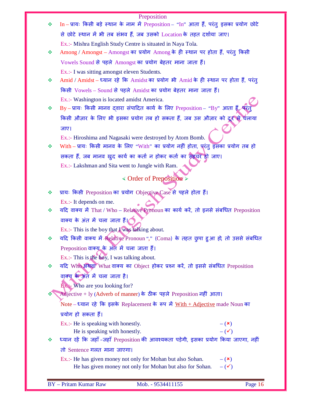## Preposition

|   | Preposition                                                                                                      |
|---|------------------------------------------------------------------------------------------------------------------|
| ❖ | $In - \overline{M}$ यः किसी बड़े स्थान के नाम में Preposition – "In" आता हैं, परंतु इसका प्रयोग छोटे             |
|   | से छोटे स्थान में भी तब संभव हैं, जब उसको Location के तहत दर्शाया जाए।                                           |
|   | Ex.:- Mishra English Study Centre is situated in Naya Tola.                                                      |
| ❖ | Among / Amongst - Amongst का प्रयोग Among के ही स्थान पर होता हैं, परंतु किसी                                    |
|   | Vowels Sound से पहले Amongst का प्रयोग बेहतर माना जाता हैं।                                                      |
|   | Ex.:- I was sitting amongst eleven Students.                                                                     |
| ❖ | Amid / Amidst – ध्यान रहे कि Amidst का प्रयोग भी Amid के ही स्थान पर होता हैं, परंतु                             |
|   | किसी Vowels – Sound से पहले Amidst का प्रयोग बेहतर माना जाता हैं।                                                |
|   | Ex.:- Washington is located amidst America.                                                                      |
| ❖ | By - प्रायः किसी मानव द्वारा संपादित कार्य के लिए Preposition - "By" आता हैं,                                    |
|   | किसी औज़ार के लिए भी इसका प्रयोग तब हो सकता हैं, जब उस औज़ार को दूर से चलाया                                     |
|   | जाए।                                                                                                             |
|   | Ex.:- Hiroshima and Nagasaki were destroyed by Atom Bomb.                                                        |
| ❖ | With - प्रायः किसी मानव के लिए "With" का प्रयोग नहीं होता, पूरंतु इसका प्रयोग तब हो                              |
|   | सकता हैं, जब मानव खुद कार्य का कर्ता न होकर कर्ता का सहचर हो जाए।                                                |
|   | Ex.:- Lakshman and Sita went to Jungle with Ram.                                                                 |
|   | $\triangleleft$ Order of Preposition $\triangleright$                                                            |
|   |                                                                                                                  |
| ❖ | प्रायः किसी Preposition का प्रयोग Objective Case से पहले होता हैं।                                               |
| ❖ | Ex.:- It depends on me.<br>यदि वाक्य में That / Who - Relative Pronoun का कार्य करें, तो इनसे संबधित Preposition |
|   | वाक्य के अंत में चला जाता हैं। बिला वाला हैं। ब                                                                  |
|   | Ex.:- This is the boy that I was talking about.                                                                  |
| ❖ | यदि किसी वाक्य में Relative Pronoun "," (Coma) के तहत छुपा हुआ हो, तो उससे संबधित                                |
|   | Preposition वाक्य के अंत में चला जाता हैं।                                                                       |
|   | Ex.:- This is the boy, I was talking about.                                                                      |
| ❖ | यदि Who अथवा What वाक्य का Object होकर प्रश्न करें, तो इससे संबधित Preposition                                   |
|   | वाक्यू के अंत में चला जाता है।                                                                                   |
|   | $Bx$ : Who are you looking for?                                                                                  |
|   | Adjective + ly (Adverb of manner) के ठीक पहले Preposition नहीं आता।                                              |
|   | Note – ध्यान रहे कि इसके Replacement के रूप में With + Adjective made Noun का                                    |
|   | प्रयोग हो सकता हैं।                                                                                              |
|   | Ex.:- He is speaking with honestly.<br>$-({\bf x})$                                                              |
|   | $-$ ( $\checkmark$ )<br>He is speaking with honestly.                                                            |
| ❖ | ध्यान रहें कि जहाँ-जहाँ Preposition की आवश्यकता पड़ेगी, इसका प्रयोग किया जाएगा, नहीं                             |
|   | तो Sentence गलत माना जाएगा।                                                                                      |
|   | Ex.:- He has given money not only for Mohan but also Sohan.<br>$-({\bf x})$                                      |
|   | $-$ ( $\checkmark$ )<br>He has given money not only for Mohan but also for Sohan.                                |
|   |                                                                                                                  |